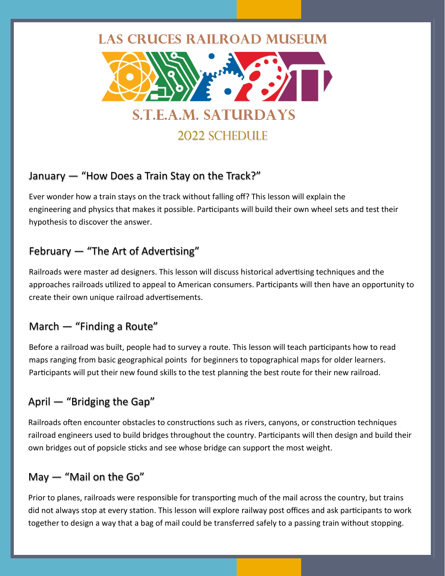# **LAS CRUCES RAILROAD MUSEUM**



2022 Schedule

## January — "How Does a Train Stay on the Track?"

Ever wonder how a train stays on the track without falling off? This lesson will explain the engineering and physics that makes it possible. Participants will build their own wheel sets and test their hypothesis to discover the answer.

## February — "The Art of Advertising"

Railroads were master ad designers. This lesson will discuss historical advertising techniques and the approaches railroads utilized to appeal to American consumers. Participants will then have an opportunity to create their own unique railroad advertisements.

## March — "Finding a Route"

Before a railroad was built, people had to survey a route. This lesson will teach participants how to read maps ranging from basic geographical points for beginners to topographical maps for older learners. Participants will put their new found skills to the test planning the best route for their new railroad.

# April — "Bridging the Gap"

Railroads often encounter obstacles to constructions such as rivers, canyons, or construction techniques railroad engineers used to build bridges throughout the country. Participants will then design and build their own bridges out of popsicle sticks and see whose bridge can support the most weight.

# May — "Mail on the Go"

Prior to planes, railroads were responsible for transporting much of the mail across the country, but trains did not always stop at every station. This lesson will explore railway post offices and ask participants to work together to design a way that a bag of mail could be transferred safely to a passing train without stopping.